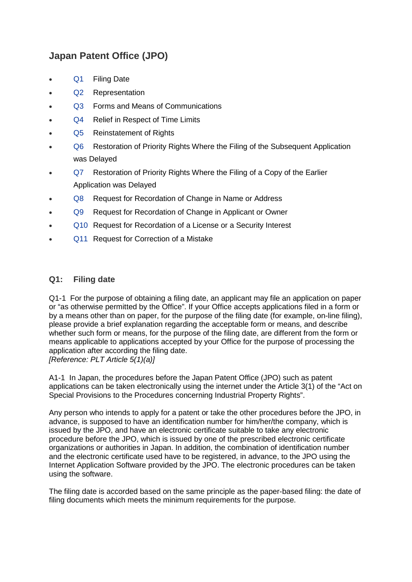# **Japan Patent Office (JPO)**

- [Q1](#page-0-0) Filing Date
- [Q2](#page-2-0) Representation
- [Q3](#page-2-1) Forms and Means of Communications
- [Q4](#page-2-2) Relief in Respect of Time Limits
- [Q5](#page-3-0) Reinstatement of Rights
- [Q6](#page-4-0) Restoration of Priority Rights Where the Filing of the Subsequent Application was Delayed
- [Q7](#page-4-0) Restoration of Priority Rights Where the Filing of a Copy of the Earlier Application was Delayed
- [Q8](#page-5-0) Request for Recordation of Change in Name or Address
- [Q9](#page-5-1) Request for Recordation of Change in Applicant or Owner
- [Q10](#page-6-0) Request for Recordation of a License or a Security Interest
- <span id="page-0-0"></span>• [Q11](#page-7-0) Request for Correction of a Mistake

#### **Q1: Filing date**

Q1-1 For the purpose of obtaining a filing date, an applicant may file an application on paper or "as otherwise permitted by the Office". If your Office accepts applications filed in a form or by a means other than on paper, for the purpose of the filing date (for example, on-line filing), please provide a brief explanation regarding the acceptable form or means, and describe whether such form or means, for the purpose of the filing date, are different from the form or means applicable to applications accepted by your Office for the purpose of processing the application after according the filing date. *[Reference: PLT Article 5(1)(a)]*

A1-1 In Japan, the procedures before the Japan Patent Office (JPO) such as patent applications can be taken electronically using the internet under the Article 3(1) of the "Act on Special Provisions to the Procedures concerning Industrial Property Rights".

Any person who intends to apply for a patent or take the other procedures before the JPO, in advance, is supposed to have an identification number for him/her/the company, which is issued by the JPO, and have an electronic certificate suitable to take any electronic procedure before the JPO, which is issued by one of the prescribed electronic certificate organizations or authorities in Japan. In addition, the combination of identification number and the electronic certificate used have to be registered, in advance, to the JPO using the Internet Application Software provided by the JPO. The electronic procedures can be taken using the software.

The filing date is accorded based on the same principle as the paper-based filing: the date of filing documents which meets the minimum requirements for the purpose.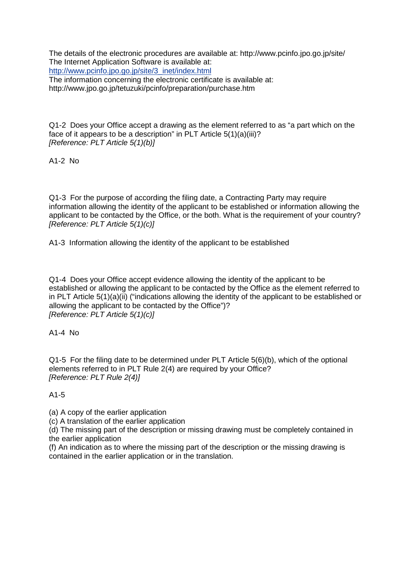The details of the electronic procedures are available at: http://www.pcinfo.jpo.go.jp/site/ The Internet Application Software is available at: [http://www.pcinfo.jpo.go.jp/site/3\\_inet/index.html](http://www.pcinfo.jpo.go.jp/site/3_inet/index.html) The information concerning the electronic certificate is available at: <http://www.jpo.go.jp/tetuzuki/pcinfo/preparation/purchase.htm>

Q1-2 Does your Office accept a drawing as the element referred to as "a part which on the face of it appears to be a description" in PLT Article 5(1)(a)(iii)? *[Reference: PLT Article 5(1)(b)]*

A1-2 No

Q1-3 For the purpose of according the filing date, a Contracting Party may require information allowing the identity of the applicant to be established or information allowing the applicant to be contacted by the Office, or the both. What is the requirement of your country? *[Reference: PLT Article 5(1)(c)]*

A1-3 Information allowing the identity of the applicant to be established

Q1-4 Does your Office accept evidence allowing the identity of the applicant to be established or allowing the applicant to be contacted by the Office as the element referred to in PLT Article 5(1)(a)(ii) ("indications allowing the identity of the applicant to be established or allowing the applicant to be contacted by the Office")? *[Reference: PLT Article 5(1)(c)]*

A1-4 No

Q1-5 For the filing date to be determined under PLT Article 5(6)(b), which of the optional elements referred to in PLT Rule 2(4) are required by your Office? *[Reference: PLT Rule 2(4)]*

A1-5

(a) A copy of the earlier application

(c) A translation of the earlier application

(d) The missing part of the description or missing drawing must be completely contained in the earlier application

(f) An indication as to where the missing part of the description or the missing drawing is contained in the earlier application or in the translation.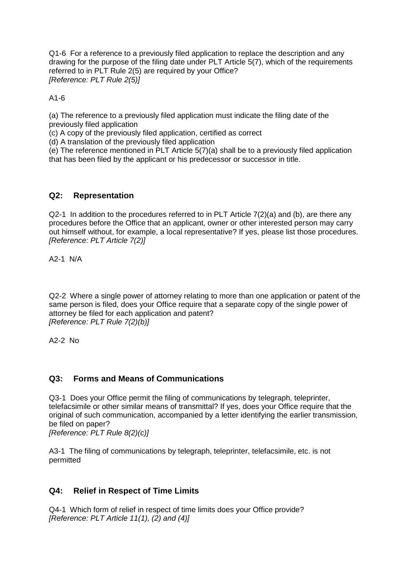Q1-6 For a reference to a previously filed application to replace the description and any drawing for the purpose of the filing date under PLT Article 5(7), which of the requirements referred to in PLT Rule 2(5) are required by your Office? *[Reference: PLT Rule 2(5)]*

<span id="page-2-0"></span>A1-6

(a) The reference to a previously filed application must indicate the filing date of the previously filed application

(c) A copy of the previously filed application, certified as correct

(d) A translation of the previously filed application

(e) The reference mentioned in PLT Article 5(7)(a) shall be to a previously filed application that has been filed by the applicant or his predecessor or successor in title.

## **Q2: Representation**

Q2-1 In addition to the procedures referred to in PLT Article 7(2)(a) and (b), are there any procedures before the Office that an applicant, owner or other interested person may carry out himself without, for example, a local representative? If yes, please list those procedures. *[Reference: PLT Article 7(2)]*

A2-1 N/A

Q2-2 Where a single power of attorney relating to more than one application or patent of the same person is filed, does your Office require that a separate copy of the single power of attorney be filed for each application and patent? *[Reference: PLT Rule 7(2)(b)]*

A2-2 No

## <span id="page-2-1"></span>**Q3: Forms and Means of Communications**

Q3-1 Does your Office permit the filing of communications by telegraph, teleprinter, telefacsimile or other similar means of transmittal? If yes, does your Office require that the original of such communication, accompanied by a letter identifying the earlier transmission, be filed on paper?

*[Reference: PLT Rule 8(2)(c)]*

A3-1 The filing of communications by telegraph, teleprinter, telefacsimile, etc. is not permitted

## <span id="page-2-2"></span>**Q4: Relief in Respect of Time Limits**

Q4-1 Which form of relief in respect of time limits does your Office provide? *[Reference: PLT Article 11(1), (2) and (4)]*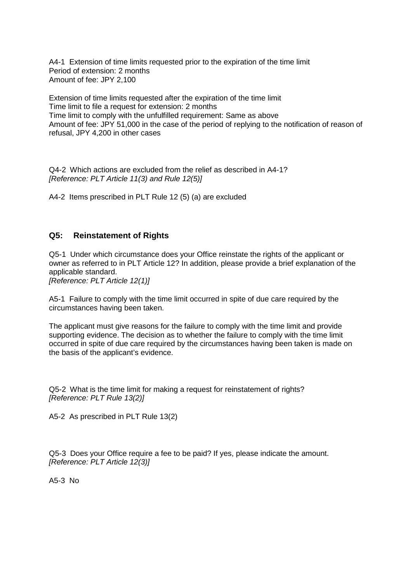A4-1 Extension of time limits requested prior to the expiration of the time limit Period of extension: 2 months Amount of fee: JPY 2,100

Extension of time limits requested after the expiration of the time limit Time limit to file a request for extension: 2 months Time limit to comply with the unfulfilled requirement: Same as above Amount of fee: JPY 51,000 in the case of the period of replying to the notification of reason of refusal, JPY 4,200 in other cases

Q4-2 Which actions are excluded from the relief as described in A4-1? *[Reference: PLT Article 11(3) and Rule 12(5)]*

A4-2 Items prescribed in PLT Rule 12 (5) (a) are excluded

#### <span id="page-3-0"></span>**Q5: Reinstatement of Rights**

Q5-1 Under which circumstance does your Office reinstate the rights of the applicant or owner as referred to in PLT Article 12? In addition, please provide a brief explanation of the applicable standard.

*[Reference: PLT Article 12(1)]*

A5-1 Failure to comply with the time limit occurred in spite of due care required by the circumstances having been taken.

The applicant must give reasons for the failure to comply with the time limit and provide supporting evidence. The decision as to whether the failure to comply with the time limit occurred in spite of due care required by the circumstances having been taken is made on the basis of the applicant's evidence.

Q5-2 What is the time limit for making a request for reinstatement of rights? *[Reference: PLT Rule 13(2)]*

A5-2 As prescribed in PLT Rule 13(2)

Q5-3 Does your Office require a fee to be paid? If yes, please indicate the amount. *[Reference: PLT Article 12(3)]*

A5-3 No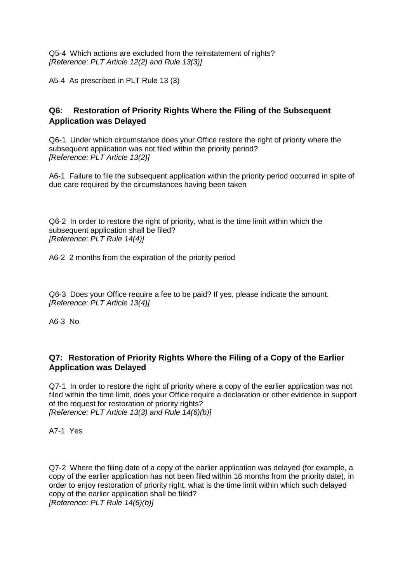Q5-4 Which actions are excluded from the reinstatement of rights? *[Reference: PLT Article 12(2) and Rule 13(3)]*

A5-4 As prescribed in PLT Rule 13 (3)

# <span id="page-4-0"></span>**Q6: Restoration of Priority Rights Where the Filing of the Subsequent Application was Delayed**

Q6-1 Under which circumstance does your Office restore the right of priority where the subsequent application was not filed within the priority period? *[Reference: PLT Article 13(2)]*

A6-1 Failure to file the subsequent application within the priority period occurred in spite of due care required by the circumstances having been taken

Q6-2 In order to restore the right of priority, what is the time limit within which the subsequent application shall be filed? *[Reference: PLT Rule 14(4)]*

A6-2 2 months from the expiration of the priority period

Q6-3 Does your Office require a fee to be paid? If yes, please indicate the amount. *[Reference: PLT Article 13(4)]*

A6-3 No

# **Q7: Restoration of Priority Rights Where the Filing of a Copy of the Earlier Application was Delayed**

Q7-1 In order to restore the right of priority where a copy of the earlier application was not filed within the time limit, does your Office require a declaration or other evidence in support of the request for restoration of priority rights? *[Reference: PLT Article 13(3) and Rule 14(6)(b)]*

A7-1 Yes

Q7-2 Where the filing date of a copy of the earlier application was delayed (for example, a copy of the earlier application has not been filed within 16 months from the priority date), in order to enjoy restoration of priority right, what is the time limit within which such delayed copy of the earlier application shall be filed? *[Reference: PLT Rule 14(6)(b)]*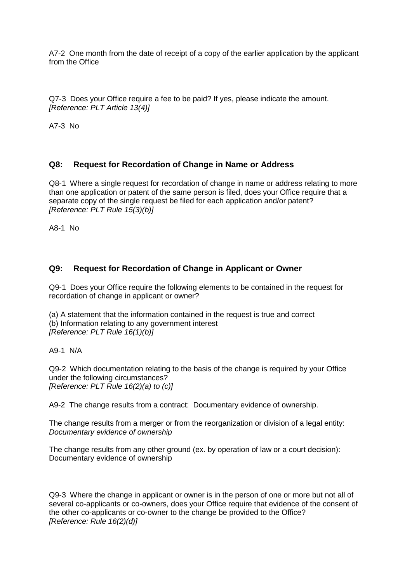A7-2 One month from the date of receipt of a copy of the earlier application by the applicant from the Office

Q7-3 Does your Office require a fee to be paid? If yes, please indicate the amount. *[Reference: PLT Article 13(4)]*

A7-3 No

# <span id="page-5-0"></span>**Q8: Request for Recordation of Change in Name or Address**

Q8-1 Where a single request for recordation of change in name or address relating to more than one application or patent of the same person is filed, does your Office require that a separate copy of the single request be filed for each application and/or patent? *[Reference: PLT Rule 15(3)(b)]*

<span id="page-5-1"></span>A8-1 No

## **Q9: Request for Recordation of Change in Applicant or Owner**

Q9-1 Does your Office require the following elements to be contained in the request for recordation of change in applicant or owner?

(a) A statement that the information contained in the request is true and correct (b) Information relating to any government interest *[Reference: PLT Rule 16(1)(b)]*

A9-1 N/A

Q9-2 Which documentation relating to the basis of the change is required by your Office under the following circumstances? *[Reference: PLT Rule 16(2)(a) to (c)]*

A9-2 The change results from a contract: Documentary evidence of ownership.

The change results from a merger or from the reorganization or division of a legal entity: *Documentary evidence of ownership*

The change results from any other ground (ex. by operation of law or a court decision): Documentary evidence of ownership

Q9-3 Where the change in applicant or owner is in the person of one or more but not all of several co-applicants or co-owners, does your Office require that evidence of the consent of the other co-applicants or co-owner to the change be provided to the Office? *[Reference: Rule 16(2)(d)]*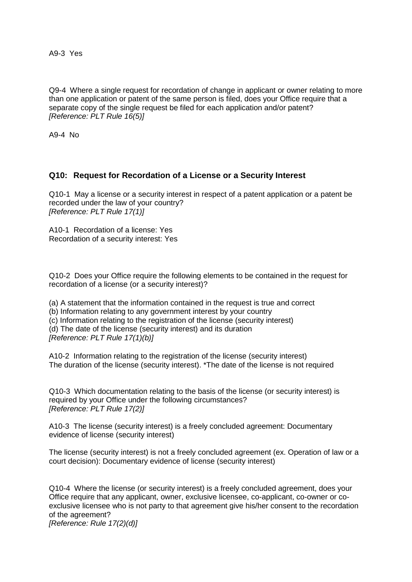A9-3 Yes

Q9-4 Where a single request for recordation of change in applicant or owner relating to more than one application or patent of the same person is filed, does your Office require that a separate copy of the single request be filed for each application and/or patent? *[Reference: PLT Rule 16(5)]*

<span id="page-6-0"></span>A9-4 No

## **Q10: Request for Recordation of a License or a Security Interest**

Q10-1 May a license or a security interest in respect of a patent application or a patent be recorded under the law of your country? *[Reference: PLT Rule 17(1)]*

A10-1 Recordation of a license: Yes Recordation of a security interest: Yes

Q10-2 Does your Office require the following elements to be contained in the request for recordation of a license (or a security interest)?

(a) A statement that the information contained in the request is true and correct

(b) Information relating to any government interest by your country

(c) Information relating to the registration of the license (security interest)

(d) The date of the license (security interest) and its duration

*[Reference: PLT Rule 17(1)(b)]*

A10-2 Information relating to the registration of the license (security interest) The duration of the license (security interest). \*The date of the license is not required

Q10-3 Which documentation relating to the basis of the license (or security interest) is required by your Office under the following circumstances? *[Reference: PLT Rule 17(2)]*

A10-3 The license (security interest) is a freely concluded agreement: Documentary evidence of license (security interest)

The license (security interest) is not a freely concluded agreement (ex. Operation of law or a court decision): Documentary evidence of license (security interest)

Q10-4 Where the license (or security interest) is a freely concluded agreement, does your Office require that any applicant, owner, exclusive licensee, co-applicant, co-owner or coexclusive licensee who is not party to that agreement give his/her consent to the recordation of the agreement?

*[Reference: Rule 17(2)(d)]*